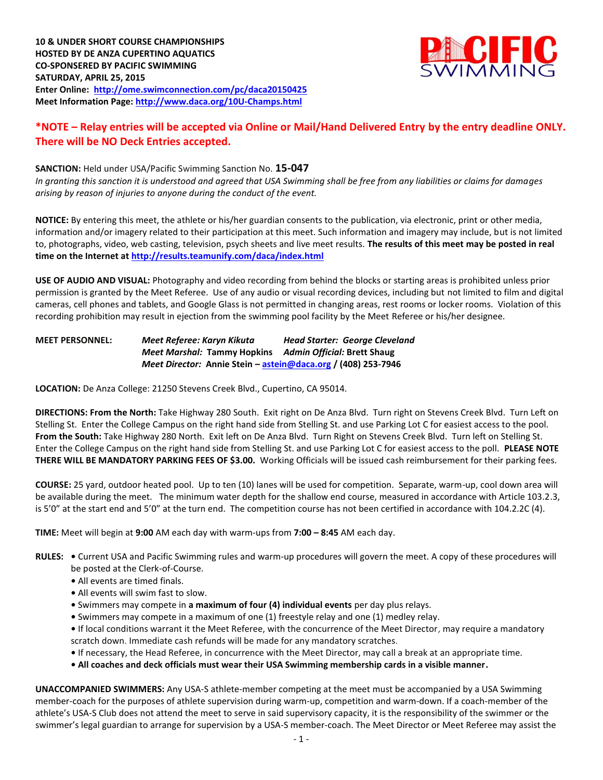

## **\*NOTE – Relay entries will be accepted via Online or Mail/Hand Delivered Entry by the entry deadline ONLY. There will be NO Deck Entries accepted.**

**SANCTION:** Held under USA/Pacific Swimming Sanction No. **15-047** *In granting this sanction it is understood and agreed that USA Swimming shall be free from any liabilities or claims for damages arising by reason of injuries to anyone during the conduct of the event.*

**NOTICE:** By entering this meet, the athlete or his/her guardian consents to the publication, via electronic, print or other media, information and/or imagery related to their participation at this meet. Such information and imagery may include, but is not limited to, photographs, video, web casting, television, psych sheets and live meet results. **The results of this meet may be posted in real time on the Internet a[t http://results.teamunify.com/daca/index.html](http://results.teamunify.com/daca/index.html)**

**USE OF AUDIO AND VISUAL:** Photography and video recording from behind the blocks or starting areas is prohibited unless prior permission is granted by the Meet Referee. Use of any audio or visual recording devices, including but not limited to film and digital cameras, cell phones and tablets, and Google Glass is not permitted in changing areas, rest rooms or locker rooms. Violation of this recording prohibition may result in ejection from the swimming pool facility by the Meet Referee or his/her designee.

**MEET PERSONNEL:** *Meet Referee: Karyn Kikuta Head Starter: George Cleveland Meet Marshal:* **Tammy Hopkins** *Admin Official:* **Brett Shaug** *Meet Director:* **Annie Stein – [astein@daca.org](mailto:astein@daca.org) / (408) 253-7946**

**LOCATION:** De Anza College: 21250 Stevens Creek Blvd., Cupertino, CA 95014.

**DIRECTIONS: From the North:** Take Highway 280 South. Exit right on De Anza Blvd. Turn right on Stevens Creek Blvd. Turn Left on Stelling St. Enter the College Campus on the right hand side from Stelling St. and use Parking Lot C for easiest access to the pool. **From the South:** Take Highway 280 North. Exit left on De Anza Blvd. Turn Right on Stevens Creek Blvd. Turn left on Stelling St. Enter the College Campus on the right hand side from Stelling St. and use Parking Lot C for easiest access to the poll. **PLEASE NOTE THERE WILL BE MANDATORY PARKING FEES OF \$3.00.** Working Officials will be issued cash reimbursement for their parking fees.

**COURSE:** 25 yard, outdoor heated pool. Up to ten (10) lanes will be used for competition. Separate, warm-up, cool down area will be available during the meet. The minimum water depth for the shallow end course, measured in accordance with Article 103.2.3, is 5'0" at the start end and 5'0" at the turn end. The competition course has not been certified in accordance with 104.2.2C (4).

**TIME:** Meet will begin at **9:00** AM each day with warm-ups from **7:00 – 8:45** AM each day.

- **RULES:** Current USA and Pacific Swimming rules and warm-up procedures will govern the meet. A copy of these procedures will be posted at the Clerk-of-Course.
	- **•** All events are timed finals.
	- **•** All events will swim fast to slow.
	- **•** Swimmers may compete in **a maximum of four (4) individual events** per day plus relays.
	- **•** Swimmers may compete in a maximum of one (1) freestyle relay and one (1) medley relay.
	- If local conditions warrant it the Meet Referee, with the concurrence of the Meet Director, may require a mandatory scratch down. Immediate cash refunds will be made for any mandatory scratches.
	- If necessary, the Head Referee, in concurrence with the Meet Director, may call a break at an appropriate time.
	- **• All coaches and deck officials must wear their USA Swimming membership cards in a visible manner.**

**UNACCOMPANIED SWIMMERS:** Any USA-S athlete-member competing at the meet must be accompanied by a USA Swimming member-coach for the purposes of athlete supervision during warm-up, competition and warm-down. If a coach-member of the athlete's USA-S Club does not attend the meet to serve in said supervisory capacity, it is the responsibility of the swimmer or the swimmer's legal guardian to arrange for supervision by a USA-S member-coach. The Meet Director or Meet Referee may assist the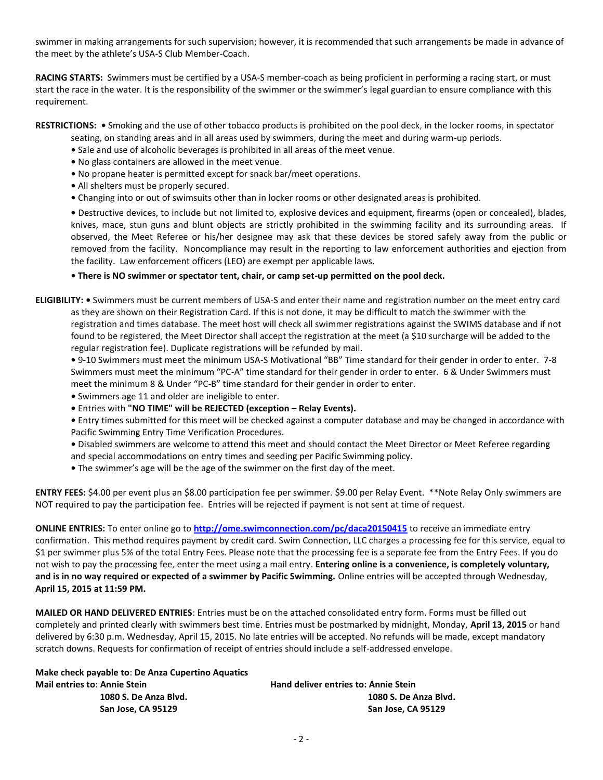swimmer in making arrangements for such supervision; however, it is recommended that such arrangements be made in advance of the meet by the athlete's USA-S Club Member-Coach.

**RACING STARTS:** Swimmers must be certified by a USA-S member-coach as being proficient in performing a racing start, or must start the race in the water. It is the responsibility of the swimmer or the swimmer's legal guardian to ensure compliance with this requirement.

**RESTRICTIONS: •** Smoking and the use of other tobacco products is prohibited on the pool deck, in the locker rooms, in spectator

- seating, on standing areas and in all areas used by swimmers, during the meet and during warm-up periods.
- **•** Sale and use of alcoholic beverages is prohibited in all areas of the meet venue.
- **•** No glass containers are allowed in the meet venue.
- **•** No propane heater is permitted except for snack bar/meet operations.
- **•** All shelters must be properly secured.
- **•** Changing into or out of swimsuits other than in locker rooms or other designated areas is prohibited.

**•** Destructive devices, to include but not limited to, explosive devices and equipment, firearms (open or concealed), blades, knives, mace, stun guns and blunt objects are strictly prohibited in the swimming facility and its surrounding areas. If observed, the Meet Referee or his/her designee may ask that these devices be stored safely away from the public or removed from the facility. Noncompliance may result in the reporting to law enforcement authorities and ejection from the facility. Law enforcement officers (LEO) are exempt per applicable laws.

**• There is NO swimmer or spectator tent, chair, or camp set-up permitted on the pool deck.** 

**ELIGIBILITY: •** Swimmers must be current members of USA-S and enter their name and registration number on the meet entry card as they are shown on their Registration Card. If this is not done, it may be difficult to match the swimmer with the registration and times database. The meet host will check all swimmer registrations against the SWIMS database and if not found to be registered, the Meet Director shall accept the registration at the meet (a \$10 surcharge will be added to the regular registration fee). Duplicate registrations will be refunded by mail.

**•** 9-10 Swimmers must meet the minimum USA-S Motivational "BB" Time standard for their gender in order to enter. 7-8 Swimmers must meet the minimum "PC-A" time standard for their gender in order to enter. 6 & Under Swimmers must meet the minimum 8 & Under "PC-B" time standard for their gender in order to enter.

- **•** Swimmers age 11 and older are ineligible to enter.
- **•** Entries with **"NO TIME" will be REJECTED (exception – Relay Events).**

**•** Entry times submitted for this meet will be checked against a computer database and may be changed in accordance with Pacific Swimming Entry Time Verification Procedures.

- **•** Disabled swimmers are welcome to attend this meet and should contact the Meet Director or Meet Referee regarding
- and special accommodations on entry times and seeding per Pacific Swimming policy.
- **•** The swimmer's age will be the age of the swimmer on the first day of the meet.

**ENTRY FEES:** \$4.00 per event plus an \$8.00 participation fee per swimmer. \$9.00 per Relay Event. \*\*Note Relay Only swimmers are NOT required to pay the participation fee. Entries will be rejected if payment is not sent at time of request.

**ONLINE ENTRIES:** To enter online go to **<http://ome.swimconnection.com/pc/daca20150415>** to receive an immediate entry confirmation. This method requires payment by credit card. Swim Connection, LLC charges a processing fee for this service, equal to \$1 per swimmer plus 5% of the total Entry Fees. Please note that the processing fee is a separate fee from the Entry Fees. If you do not wish to pay the processing fee, enter the meet using a mail entry. **Entering online is a convenience, is completely voluntary, and is in no way required or expected of a swimmer by Pacific Swimming.** Online entries will be accepted through Wednesday, **April 15, 2015 at 11:59 PM.**

**MAILED OR HAND DELIVERED ENTRIES**: Entries must be on the attached consolidated entry form. Forms must be filled out completely and printed clearly with swimmers best time. Entries must be postmarked by midnight, Monday, **April 13, 2015** or hand delivered by 6:30 p.m. Wednesday, April 15, 2015. No late entries will be accepted. No refunds will be made, except mandatory scratch downs. Requests for confirmation of receipt of entries should include a self-addressed envelope.

| Make check payable to: De Anza Cupertino Aquatics |                                      |
|---------------------------------------------------|--------------------------------------|
| <b>Mail entries to: Annie Stein</b>               | Hand deliver entries to: Annie Stein |
| 1080 S. De Anza Blvd.                             | 1080 S. De Anza Blyd.                |
| San Jose, CA 95129                                | San Jose. CA 95129                   |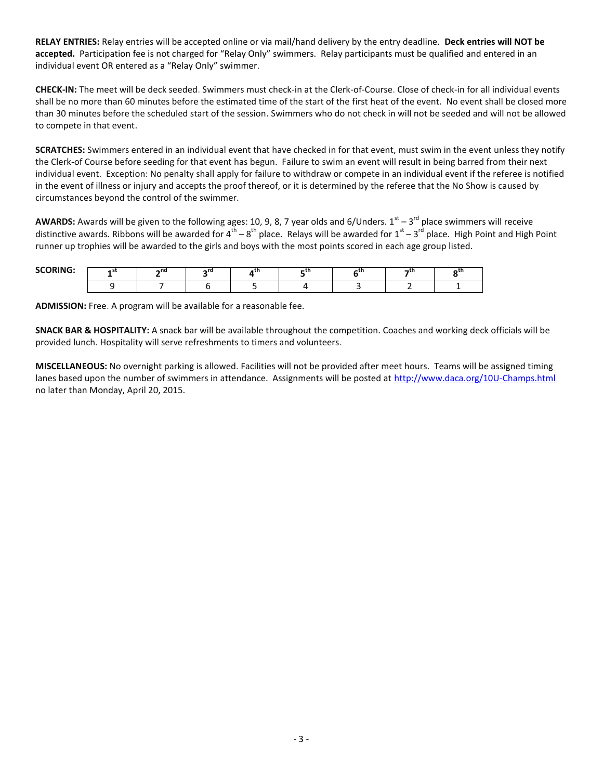**RELAY ENTRIES:** Relay entries will be accepted online or via mail/hand delivery by the entry deadline. **Deck entries will NOT be accepted.** Participation fee is not charged for "Relay Only" swimmers. Relay participants must be qualified and entered in an individual event OR entered as a "Relay Only" swimmer.

**CHECK-IN:** The meet will be deck seeded. Swimmers must check-in at the Clerk-of-Course. Close of check-in for all individual events shall be no more than 60 minutes before the estimated time of the start of the first heat of the event. No event shall be closed more than 30 minutes before the scheduled start of the session. Swimmers who do not check in will not be seeded and will not be allowed to compete in that event.

**SCRATCHES:** Swimmers entered in an individual event that have checked in for that event, must swim in the event unless they notify the Clerk-of Course before seeding for that event has begun. Failure to swim an event will result in being barred from their next individual event. Exception: No penalty shall apply for failure to withdraw or compete in an individual event if the referee is notified in the event of illness or injury and accepts the proof thereof, or it is determined by the referee that the No Show is caused by circumstances beyond the control of the swimmer.

**AWARDS:** Awards will be given to the following ages: 10, 9, 8, 7 year olds and 6/Unders. 1<sup>st</sup> – 3<sup>rd</sup> place swimmers will receive distinctive awards. Ribbons will be awarded for 4<sup>th</sup> – 8<sup>th</sup> place. Relays will be awarded for 1<sup>st</sup> – 3<sup>rd</sup> place. High Point and High Point runner up trophies will be awarded to the girls and boys with the most points scored in each age group listed.

| <b>SCOPING</b> | n.<br> | . . |  |  |  |  |
|----------------|--------|-----|--|--|--|--|
|                |        |     |  |  |  |  |

**ADMISSION:** Free. A program will be available for a reasonable fee.

**SNACK BAR & HOSPITALITY:** A snack bar will be available throughout the competition. Coaches and working deck officials will be provided lunch. Hospitality will serve refreshments to timers and volunteers.

**MISCELLANEOUS:** No overnight parking is allowed. Facilities will not be provided after meet hours. Teams will be assigned timing lanes based upon the number of swimmers in attendance. Assignments will be posted at<http://www.daca.org/10U-Champs.html> no later than Monday, April 20, 2015.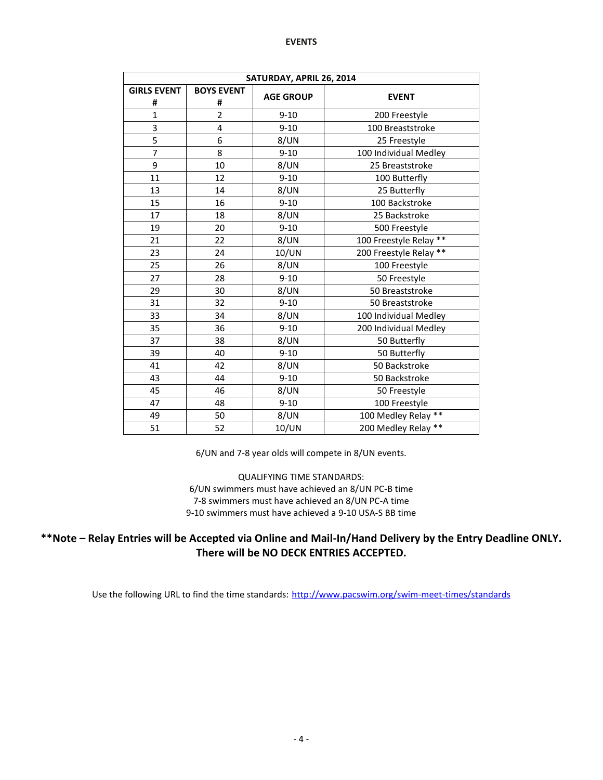## **EVENTS**

| SATURDAY, APRIL 26, 2014 |                        |                  |                        |  |  |  |  |  |  |  |  |
|--------------------------|------------------------|------------------|------------------------|--|--|--|--|--|--|--|--|
| <b>GIRLS EVENT</b><br>#  | <b>BOYS EVENT</b><br># | <b>AGE GROUP</b> | <b>EVENT</b>           |  |  |  |  |  |  |  |  |
| $\mathbf{1}$             | $\overline{2}$         | $9 - 10$         | 200 Freestyle          |  |  |  |  |  |  |  |  |
| 3                        | 4                      | $9 - 10$         | 100 Breaststroke       |  |  |  |  |  |  |  |  |
| 5                        | 6                      | 8/UN             | 25 Freestyle           |  |  |  |  |  |  |  |  |
| 7                        | 8                      | $9 - 10$         | 100 Individual Medley  |  |  |  |  |  |  |  |  |
| 9                        | 10                     | 8/UN             | 25 Breaststroke        |  |  |  |  |  |  |  |  |
| 11                       | 12                     | $9 - 10$         | 100 Butterfly          |  |  |  |  |  |  |  |  |
| 13                       | 14                     | 8/UN             | 25 Butterfly           |  |  |  |  |  |  |  |  |
| 15                       | 16                     | $9 - 10$         | 100 Backstroke         |  |  |  |  |  |  |  |  |
| 17                       | 18                     | 8/UN             | 25 Backstroke          |  |  |  |  |  |  |  |  |
| 19                       | 20                     | $9 - 10$         | 500 Freestyle          |  |  |  |  |  |  |  |  |
| 21                       | 22                     | 8/UN             | 100 Freestyle Relay ** |  |  |  |  |  |  |  |  |
| 23                       | 24                     | 10/UN            | 200 Freestyle Relay ** |  |  |  |  |  |  |  |  |
| 25                       | 26                     | 8/UN             | 100 Freestyle          |  |  |  |  |  |  |  |  |
| 27                       | 28                     | $9 - 10$         | 50 Freestyle           |  |  |  |  |  |  |  |  |
| 29                       | 30                     | 8/UN             | 50 Breaststroke        |  |  |  |  |  |  |  |  |
| 31                       | 32                     | $9 - 10$         | 50 Breaststroke        |  |  |  |  |  |  |  |  |
| 33                       | 34                     | 8/UN             | 100 Individual Medley  |  |  |  |  |  |  |  |  |
| 35                       | 36                     | $9 - 10$         | 200 Individual Medley  |  |  |  |  |  |  |  |  |
| 37                       | 38                     | 8/UN             | 50 Butterfly           |  |  |  |  |  |  |  |  |
| 39                       | 40                     | $9 - 10$         | 50 Butterfly           |  |  |  |  |  |  |  |  |
| 41                       | 42                     | 8/UN             | 50 Backstroke          |  |  |  |  |  |  |  |  |
| 43                       | 44                     | $9 - 10$         | 50 Backstroke          |  |  |  |  |  |  |  |  |
| 45                       | 46                     | 8/UN             | 50 Freestyle           |  |  |  |  |  |  |  |  |
| 47                       | 48                     | $9 - 10$         | 100 Freestyle          |  |  |  |  |  |  |  |  |
| 49                       | 50                     | 8/UN             | 100 Medley Relay **    |  |  |  |  |  |  |  |  |
| 51                       | 52                     | 10/UN            | 200 Medley Relay **    |  |  |  |  |  |  |  |  |

6/UN and 7-8 year olds will compete in 8/UN events.

QUALIFYING TIME STANDARDS: 6/UN swimmers must have achieved an 8/UN PC-B time 7-8 swimmers must have achieved an 8/UN PC-A time 9-10 swimmers must have achieved a 9-10 USA-S BB time

## **\*\*Note – Relay Entries will be Accepted via Online and Mail-In/Hand Delivery by the Entry Deadline ONLY. There will be NO DECK ENTRIES ACCEPTED.**

Use the following URL to find the time standards: <http://www.pacswim.org/swim-meet-times/standards>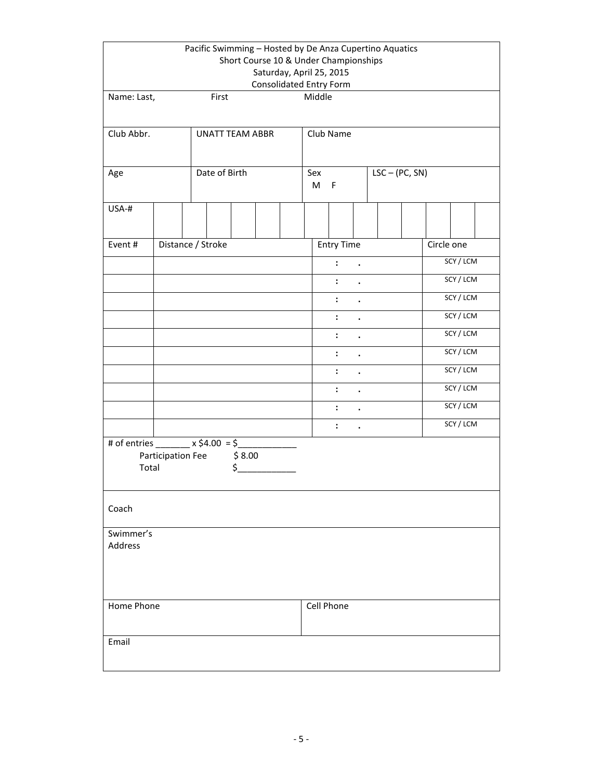| Pacific Swimming - Hosted by De Anza Cupertino Aquatics<br>Short Course 10 & Under Championships<br>Saturday, April 25, 2015 |                                        |                   |              |  |   |             |                |                      |                  |           |            |           |  |  |  |  |
|------------------------------------------------------------------------------------------------------------------------------|----------------------------------------|-------------------|--------------|--|---|-------------|----------------|----------------------|------------------|-----------|------------|-----------|--|--|--|--|
|                                                                                                                              | <b>Consolidated Entry Form</b>         |                   |              |  |   |             |                |                      |                  |           |            |           |  |  |  |  |
| Name: Last,                                                                                                                  |                                        | First             |              |  |   | Middle      |                |                      |                  |           |            |           |  |  |  |  |
|                                                                                                                              |                                        |                   |              |  |   |             |                |                      |                  |           |            |           |  |  |  |  |
| Club Abbr.<br><b>UNATT TEAM ABBR</b>                                                                                         |                                        |                   |              |  |   | Club Name   |                |                      |                  |           |            |           |  |  |  |  |
|                                                                                                                              |                                        |                   |              |  |   |             |                |                      |                  |           |            |           |  |  |  |  |
| Age                                                                                                                          |                                        | Date of Birth     |              |  |   | Sex         |                |                      | $LSC - (PC, SN)$ |           |            |           |  |  |  |  |
|                                                                                                                              |                                        |                   |              |  | M | $\mathsf F$ |                |                      |                  |           |            |           |  |  |  |  |
| USA-#                                                                                                                        |                                        |                   |              |  |   |             |                |                      |                  |           |            |           |  |  |  |  |
|                                                                                                                              |                                        |                   |              |  |   |             |                |                      |                  |           |            |           |  |  |  |  |
| Event#                                                                                                                       |                                        | Distance / Stroke |              |  |   |             | Entry Time     |                      |                  |           | Circle one |           |  |  |  |  |
|                                                                                                                              |                                        |                   |              |  |   |             | $\ddot{\cdot}$ | $\bullet$            |                  |           |            | SCY / LCM |  |  |  |  |
|                                                                                                                              |                                        |                   |              |  |   |             | $\ddot{\cdot}$ | $\cdot$              |                  |           |            | SCY / LCM |  |  |  |  |
|                                                                                                                              |                                        |                   |              |  |   |             | $\ddot{\cdot}$ | $\ddot{\phantom{0}}$ |                  |           |            | SCY / LCM |  |  |  |  |
|                                                                                                                              |                                        |                   |              |  |   |             | $\ddot{\cdot}$ |                      |                  | SCY / LCM |            |           |  |  |  |  |
|                                                                                                                              |                                        |                   |              |  |   |             | $\ddot{\cdot}$ | $\blacksquare$       |                  | SCY / LCM |            |           |  |  |  |  |
|                                                                                                                              |                                        |                   |              |  |   |             | $\ddot{\cdot}$ |                      |                  | SCY / LCM |            |           |  |  |  |  |
|                                                                                                                              |                                        |                   |              |  |   |             | $\ddot{\cdot}$ |                      |                  | SCY / LCM |            |           |  |  |  |  |
|                                                                                                                              |                                        |                   |              |  |   |             | $\ddot{\cdot}$ |                      |                  | SCY / LCM |            |           |  |  |  |  |
|                                                                                                                              |                                        |                   |              |  |   |             | $\ddot{\cdot}$ | $\cdot$              |                  | SCY / LCM |            |           |  |  |  |  |
|                                                                                                                              | $\ddot{\cdot}$<br>$\ddot{\phantom{0}}$ |                   |              |  |   |             |                | SCY / LCM            |                  |           |            |           |  |  |  |  |
| # of entries ________ x \$4.00 = \$_                                                                                         |                                        |                   |              |  |   |             |                |                      |                  |           |            |           |  |  |  |  |
| Total                                                                                                                        | Participation Fee                      |                   | \$8.00<br>\$ |  |   |             |                |                      |                  |           |            |           |  |  |  |  |
| Coach                                                                                                                        |                                        |                   |              |  |   |             |                |                      |                  |           |            |           |  |  |  |  |
| Swimmer's                                                                                                                    |                                        |                   |              |  |   |             |                |                      |                  |           |            |           |  |  |  |  |
| Address                                                                                                                      |                                        |                   |              |  |   |             |                |                      |                  |           |            |           |  |  |  |  |
|                                                                                                                              |                                        |                   |              |  |   |             |                |                      |                  |           |            |           |  |  |  |  |
|                                                                                                                              |                                        |                   |              |  |   |             |                |                      |                  |           |            |           |  |  |  |  |
| Home Phone                                                                                                                   |                                        |                   |              |  |   | Cell Phone  |                |                      |                  |           |            |           |  |  |  |  |
| Email                                                                                                                        |                                        |                   |              |  |   |             |                |                      |                  |           |            |           |  |  |  |  |
|                                                                                                                              |                                        |                   |              |  |   |             |                |                      |                  |           |            |           |  |  |  |  |